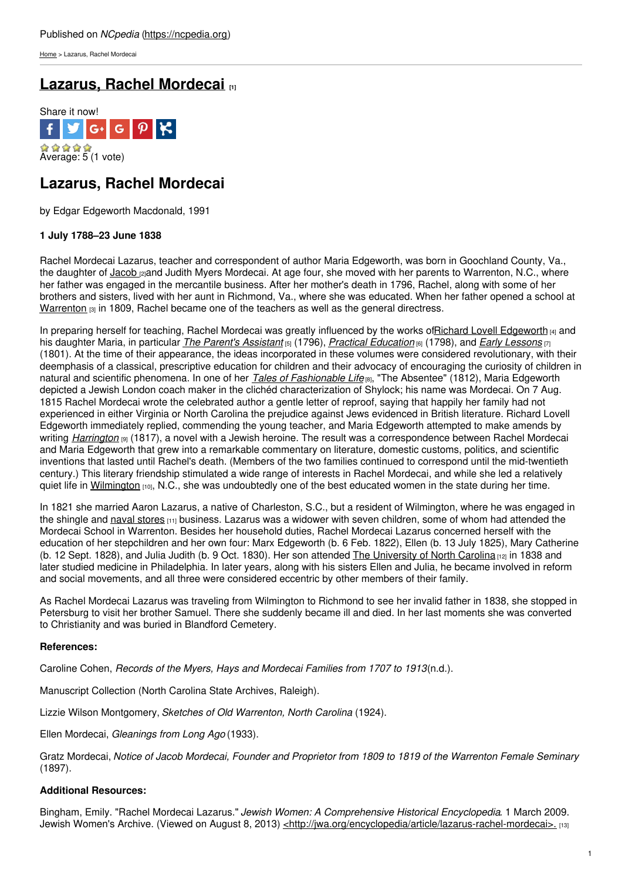[Home](https://ncpedia.org/) > Lazarus, Rachel Mordecai

## **Lazarus, Rachel [Mordecai](https://ncpedia.org/biography/lazarus-rachel-mordecai) [1]**



# **Lazarus, Rachel Mordecai**

by Edgar Edgeworth Macdonald, 1991

### **1 July 1788–23 June 1838**

Rachel Mordecai Lazarus, teacher and correspondent of author Maria Edgeworth, was born in Goochland County, Va., the daughter of [Jacob](https://ncpedia.org/biography/mordecai-jacob) **[2]**and Judith Myers Mordecai. At age four, she moved with her parents to Warrenton, N.C., where her father was engaged in the mercantile [business.](http://www.social9.com) After her mother's death in 1796, Rachel, along with some of her brothers and sisters, lived with her aunt in Richmond, Va., where she was educated. When her father opened a school at [Warrenton](https://ncpedia.org/warrenton-female-academy)  $[3]$  in 1809, Rachel became one of the teachers as well as the general directress.

In preparing herself for teaching, Rachel Mordecai was greatly influenced by the works ofRichard Lovell [Edgeworth](https://ncpedia.org/biography/edgeworth-richard) [4] and his daughter Maria, in particular *The Parent's [Assistant](http://www.gutenberg.org/ebooks/3655)* [5] (1796), *Practical [Education](http://www.gutenberg.org/ebooks/28708)* [6] (1798), and *Early [Lessons](https://archive.org/details/earlylessons03edge)* [7] (1801). At the time of their appearance, the ideas incorporated in these volumes were considered revolutionary, with their deemphasis of a classical, prescriptive education for children and their advocacy of encouraging the curiosity of children in natural and scientific phenomena. In one of her *Tales of [Fashionable](https://archive.org/details/02204413.5017.emory.edu) Life* [8], "The Absentee" (1812), Maria Edgeworth depicted a Jewish London coach maker in the clichéd characterization of Shylock; his name was Mordecai. On 7 Aug. 1815 Rachel Mordecai wrote the celebrated author a gentle letter of reproof, saying that happily her family had not experienced in either Virginia or North Carolina the prejudice against Jews evidenced in British literature. Richard Lovell Edgeworth immediately replied, commending the young teacher, and Maria Edgeworth attempted to make amends by writing *[Harrington](https://archive.org/details/00621791.5002.emory.edu)* [9] (1817), a novel with a Jewish heroine. The result was a correspondence between Rachel Mordecai and Maria Edgeworth that grew into a remarkable commentary on literature, domestic customs, politics, and scientific inventions that lasted until Rachel's death. (Members of the two families continued to correspond until the mid-twentieth century.) This literary friendship stimulated a wide range of interests in Rachel Mordecai, and while she led a relatively quiet life in [Wilmington](https://ncpedia.org/geography/wilmington) [10], N.C., she was undoubtedly one of the best educated women in the state during her time.

In 1821 she married Aaron Lazarus, a native of Charleston, S.C., but a resident of Wilmington, where he was engaged in the shingle and naval [stores](https://ncpedia.org/naval-stores)  $(11)$  business. Lazarus was a widower with seven children, some of whom had attended the Mordecai School in Warrenton. Besides her household duties, Rachel Mordecai Lazarus concerned herself with the education of her stepchildren and her own four: Marx Edgeworth (b. 6 Feb. 1822), Ellen (b. 13 July 1825), Mary Catherine (b. 12 Sept. 1828), and Julia Judith (b. 9 Oct. 1830). Her son attended The [University](https://ncpedia.org/university-north-carolina-chapel-hi) of North Carolina [12] in 1838 and later studied medicine in Philadelphia. In later years, along with his sisters Ellen and Julia, he became involved in reform and social movements, and all three were considered eccentric by other members of their family.

As Rachel Mordecai Lazarus was traveling from Wilmington to Richmond to see her invalid father in 1838, she stopped in Petersburg to visit her brother Samuel. There she suddenly became ill and died. In her last moments she was converted to Christianity and was buried in Blandford Cemetery.

### **References:**

Caroline Cohen, *Records of the Myers, Hays and Mordecai Families from 1707 to 1913*(n.d.).

Manuscript Collection (North Carolina State Archives, Raleigh).

Lizzie Wilson Montgomery, *Sketches of Old Warrenton, North Carolina* (1924).

Ellen Mordecai, *Gleanings from Long Ago* (1933).

Gratz Mordecai, Notice of Jacob Mordecai, Founder and Proprietor from 1809 to 1819 of the Warrenton Female Seminary (1897).

### **Additional Resources:**

Bingham, Emily. "Rachel Mordecai Lazarus." *Jewish Women: A Comprehensive Historical Encyclopedia*. 1 March 2009. Jewish Women's Archive. (Viewed on August 8, 2013) [<http://jwa.org/encyclopedia/article/lazarus-rachel-mordecai>.](http://jwa.org/encyclopedia/article/lazarus-rachel-mordecai) [13]